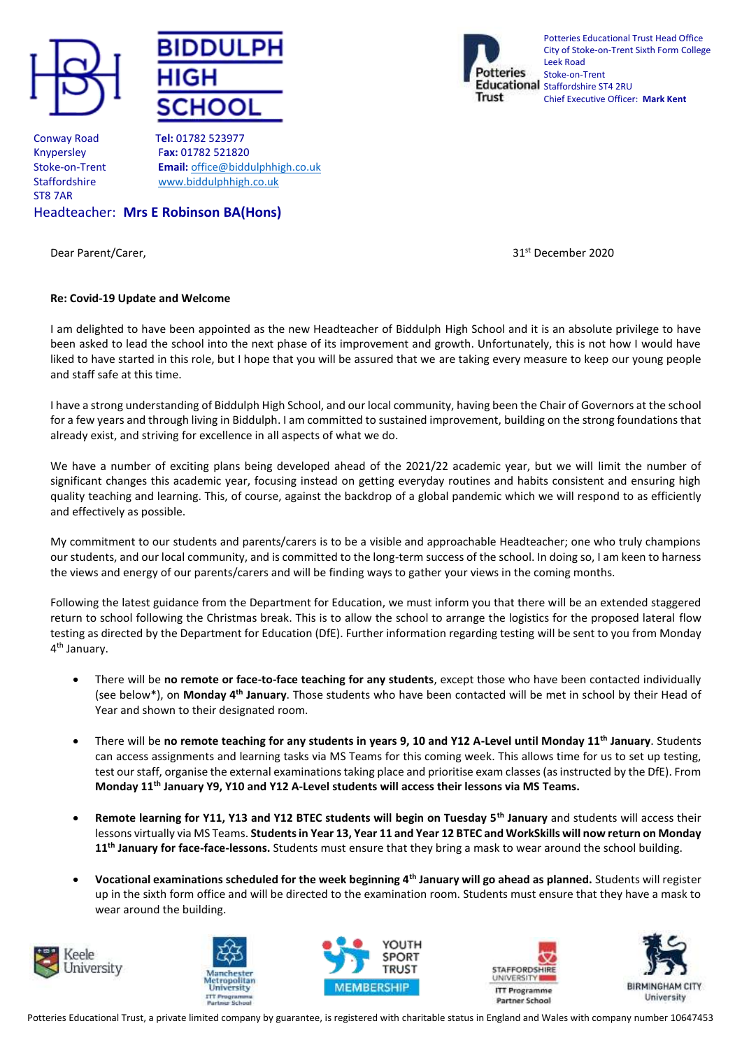





Potteries Educational Trust Head Office City of Stoke-on-Trent Sixth Form College Leek Road Stoke-on-Trent Educational staffordshire ST4 2RU Chief Executive Officer: **Mark Kent**

Conway Road T**el:** 01782 523977 ST8 7AR

Knypersley F**ax:** 01782 521820 Stoke-on-Trent **Email:** [office@biddulphhigh.co.uk](mailto:office@biddulphhigh.co.uk) Staffordshire [www.biddulphhigh.co.uk](http://www.biddulphhigh.co.uk/) 

Headteacher: **Mrs E Robinson BA(Hons)** 

Dear Parent/Carer, 31st December 2020

## **Re: Covid-19 Update and Welcome**

I am delighted to have been appointed as the new Headteacher of Biddulph High School and it is an absolute privilege to have been asked to lead the school into the next phase of its improvement and growth. Unfortunately, this is not how I would have liked to have started in this role, but I hope that you will be assured that we are taking every measure to keep our young people and staff safe at this time.

I have a strong understanding of Biddulph High School, and our local community, having been the Chair of Governors at the school for a few years and through living in Biddulph. I am committed to sustained improvement, building on the strong foundations that already exist, and striving for excellence in all aspects of what we do.

We have a number of exciting plans being developed ahead of the 2021/22 academic year, but we will limit the number of significant changes this academic year, focusing instead on getting everyday routines and habits consistent and ensuring high quality teaching and learning. This, of course, against the backdrop of a global pandemic which we will respond to as efficiently and effectively as possible.

My commitment to our students and parents/carers is to be a visible and approachable Headteacher; one who truly champions our students, and our local community, and is committed to the long-term success of the school. In doing so, I am keen to harness the views and energy of our parents/carers and will be finding ways to gather your views in the coming months.

Following the latest guidance from the Department for Education, we must inform you that there will be an extended staggered return to school following the Christmas break. This is to allow the school to arrange the logistics for the proposed lateral flow testing as directed by the Department for Education (DfE). Further information regarding testing will be sent to you from Monday 4<sup>th</sup> January.

- There will be **no remote or face-to-face teaching for any students**, except those who have been contacted individually (see below\*), on **Monday 4th January**. Those students who have been contacted will be met in school by their Head of Year and shown to their designated room.
- There will be **no remote teaching for any students in years 9, 10 and Y12 A-Level until Monday 11th January**. Students can access assignments and learning tasks via MS Teams for this coming week. This allows time for us to set up testing, test our staff, organise the external examinations taking place and prioritise exam classes (as instructed by the DfE). From **Monday 11th January Y9, Y10 and Y12 A-Level students will access their lessons via MS Teams.**
- **Remote learning for Y11, Y13 and Y12 BTEC students will begin on Tuesday 5th January** and students will access their lessons virtually via MS Teams. **Students in Year 13, Year 11 and Year 12 BTEC and WorkSkills will now return on Monday 11th January for face-face-lessons.** Students must ensure that they bring a mask to wear around the school building.
- **Vocational examinations scheduled for the week beginning 4th January will go ahead as planned.** Students will register up in the sixth form office and will be directed to the examination room. Students must ensure that they have a mask to wear around the building.









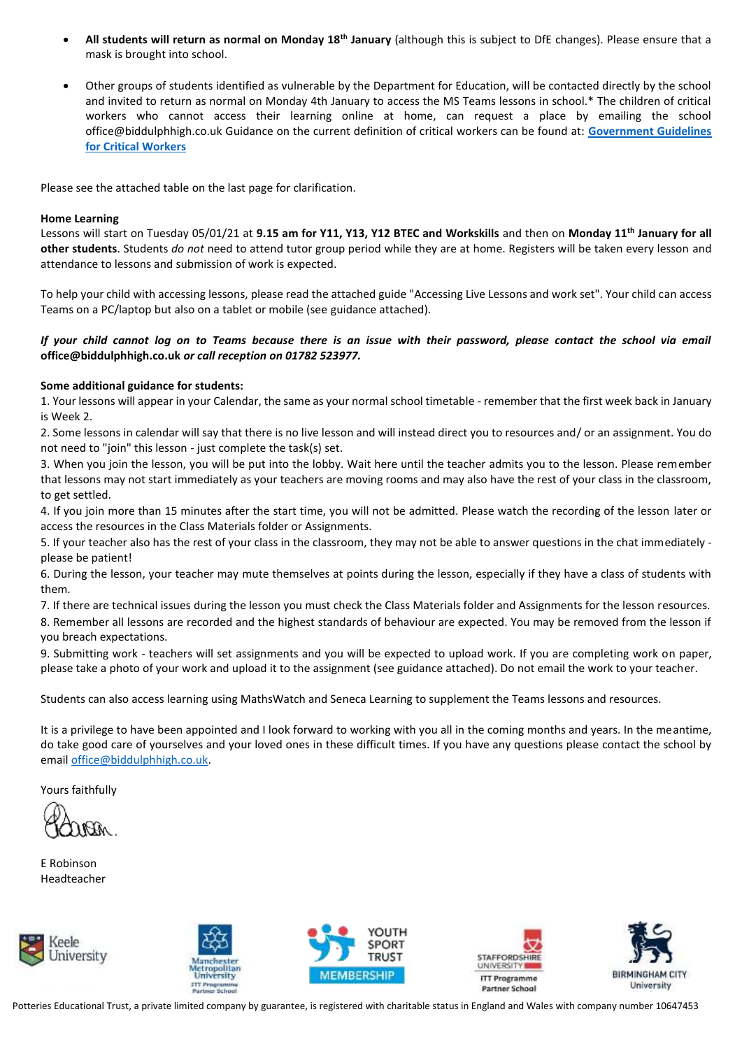- **All students will return as normal on Monday 18th January** (although this is subject to DfE changes). Please ensure that a mask is brought into school.
- Other groups of students identified as vulnerable by the Department for Education, will be contacted directly by the school and invited to return as normal on Monday 4th January to access the MS Teams lessons in school.\* The children of critical workers who cannot access their learning online at home, can request a place by emailing the school office@biddulphhigh.co.uk Guidance on the current definition of critical workers can be found at: **[Government Guidelines](https://www.gov.uk/government/publications/coronavirus-covid-19-maintaining-educational-provision/guidance-for-schools-colleges-and-local-authorities-on-maintaining-educational-provision%23critical-workers)  [for Critical Workers](https://www.gov.uk/government/publications/coronavirus-covid-19-maintaining-educational-provision/guidance-for-schools-colleges-and-local-authorities-on-maintaining-educational-provision%23critical-workers)**

Please see the attached table on the last page for clarification.

## **Home Learning**

Lessons will start on Tuesday 05/01/21 at **9.15 am for Y11, Y13, Y12 BTEC and Workskills** and then on **Monday 11th January for all other students**. Students *do not* need to attend tutor group period while they are at home. Registers will be taken every lesson and attendance to lessons and submission of work is expected.

To help your child with accessing lessons, please read the attached guide "Accessing Live Lessons and work set". Your child can access Teams on a PC/laptop but also on a tablet or mobile (see guidance attached).

## *If your child cannot log on to Teams because there is an issue with their password, please contact the school via email*  **office@biddulphhigh.co.uk** *or call reception on 01782 523977.*

## **Some additional guidance for students:**

1. Your lessons will appear in your Calendar, the same as your normal school timetable - remember that the first week back in January is Week 2.

2. Some lessons in calendar will say that there is no live lesson and will instead direct you to resources and/ or an assignment. You do not need to "join" this lesson - just complete the task(s) set.

3. When you join the lesson, you will be put into the lobby. Wait here until the teacher admits you to the lesson. Please remember that lessons may not start immediately as your teachers are moving rooms and may also have the rest of your class in the classroom, to get settled.

4. If you join more than 15 minutes after the start time, you will not be admitted. Please watch the recording of the lesson later or access the resources in the Class Materials folder or Assignments.

5. If your teacher also has the rest of your class in the classroom, they may not be able to answer questions in the chat immediately please be patient!

6. During the lesson, your teacher may mute themselves at points during the lesson, especially if they have a class of students with them.

7. If there are technical issues during the lesson you must check the Class Materials folder and Assignments for the lesson resources. 8. Remember all lessons are recorded and the highest standards of behaviour are expected. You may be removed from the lesson if you breach expectations.

9. Submitting work - teachers will set assignments and you will be expected to upload work. If you are completing work on paper, please take a photo of your work and upload it to the assignment (see guidance attached). Do not email the work to your teacher.

Students can also access learning using MathsWatch and Seneca Learning to supplement the Teams lessons and resources.

It is a privilege to have been appointed and I look forward to working with you all in the coming months and years. In the meantime, do take good care of yourselves and your loved ones in these difficult times. If you have any questions please contact the school by email [office@biddulphhigh.co.uk.](mailto:office@biddulphhigh.co.uk)

Yours faithfully

E Robinson Headteacher











Potteries Educational Trust, a private limited company by guarantee, is registered with charitable status in England and Wales with company number 10647453